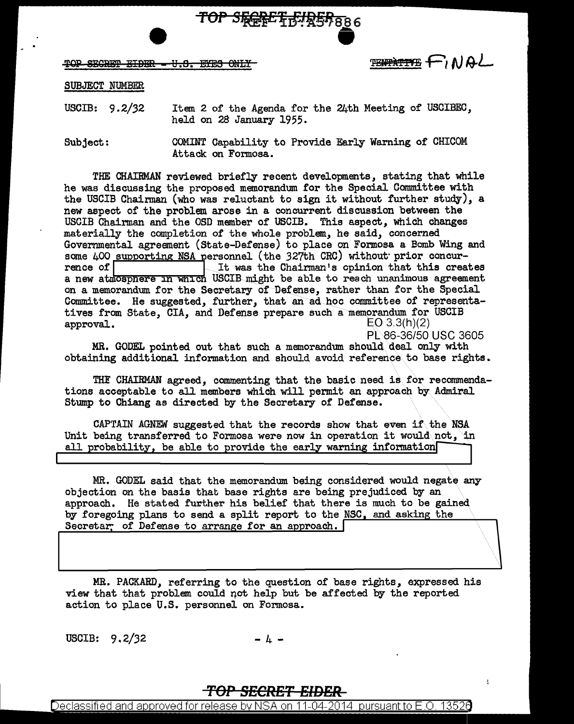

TOP SECRET EIDER - U.S. EYES ONLY

TENTATIVE FINAL

**SUBJECT NUMBER** 

Item 2 of the Agenda for the 24th Meeting of USCIBEC, USCIB:  $9.2/32$ held on 28 January 1955.

COMINT Capability to Provide Early Warning of CHICOM  $Subject:$ Attack on Formosa.

THE CHAIRMAN reviewed briefly recent developments, stating that while he was discussing the proposed memorandum for the Special Committee with the USCIB Chairman (who was reluctant to sign it without further study), a new aspect of the problem arose in a concurrent discussion between the USCIB Chairman and the OSD member of USCIB. This aspect, which changes materially the completion of the whole problem, he said, concerned Governmental agreement (State-Defense) to place on Formosa a Bomb Wing and some 400 supporting NSA personnel (the 327th CRC) without prior concur-It was the Chairman's opinion that this creates rence of on a memorandum for the Secretary of Defense, rather than for the Special Committee. He suggested, further, that an ad hoc committee of representatives from State, CIA, and Defense prepare such a memorandum for USCIB approval.  $EO 3.3(h)(2)$ 

PL 86-36/50 USC 3605

MR. GODEL pointed out that such a memorandum should deal only with obtaining additional information and should avoid reference to base rights.

THE CHAIRMAN agreed, commenting that the basic need is for recommendations acceptable to all members which will permit an approach by Admiral Stump to Chiang as directed by the Secretary of Defense.

CAPTAIN AGNEW suggested that the records show that even if the NSA Unit being transferred to Formosa were now in operation it would not, in all probability, be able to provide the early warning information

MR. GODEL said that the memorandum being considered would negate any objection on the basis that base rights are being prejudiced by an approach. He stated further his belief that there is much to be gained by foregoing plans to send a split report to the NSC, and asking the Secretar of Defense to arrange for an approach.

MR. PACKARD, referring to the question of base rights, expressed his view that that problem could not help but be affected by the reported action to place U.S. personnel on Formosa.

USCIB:  $9.2/32$ 

 $\mu$   $-$ 

## <del>TOP SECRET EIDER</del>

Declassified and approved for release by NSA on 11-04-2014  $\,$  pursuant to E.O. 13526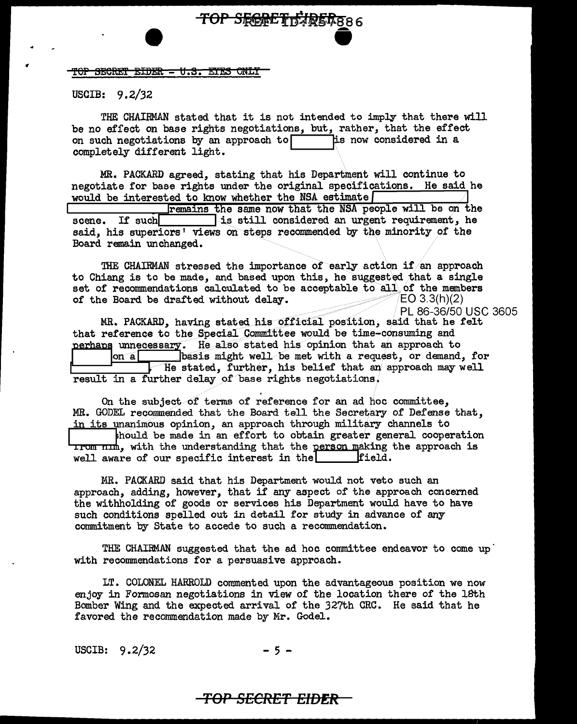<u> TOP SECRET EIDER = U.S. EYES ONLY</u>

USCIB:  $9.2/32$ 

THE CHAIRMAN stated that it is not intended to imply that there will be no effect on base rights negotiations, but, rather, that the effect his now considered in a on such negotiations by an approach to completely different light.

TOP SFERET FURER886

MR. PACKARD agreed, stating that his Department will continue to negotiate for base rights under the original specifications. He said he would be interested to know whether the NSA estimate remains the same now that the NSA people will be on the is still considered an urgent requirement, he If such scene. said, his superiors' views on steps recommended by the minority of the Board remain unchanged.

THE CHAIRMAN stressed the importance of early action if an approach to Chiang is to be made, and based upon this, he suggested that a single set of recommendations calculated to be acceptable to all of the members of the Board be drafted without delay.  $EO 3.3(h)(2)$ 

PL 86-36/50 USC 3605

MR. PACKARD, having stated his official position, said that he felt that reference to the Special Committee would be time-consuming and perhaps unnecessary. He also stated his opinion that an approach to basis might well be met with a request, or demand, for lon al I He stated, further, his belief that an approach may well result in a further delay of base rights negotiations.

On the subject of terms of reference for an ad hoc committee. MR. GODEL recommended that the Board tell the Secretary of Defense that. in its unanimous opinion, an approach through military channels to should be made in an effort to obtain greater general cooperation **Irom nim.** with the understanding that the person making the approach is field. well aware of our specific interest in the

MR. PACKARD said that his Department would not veto such an approach, adding, however, that if any aspect of the approach concerned the withholding of goods or services his Department would have to have such conditions spelled out in detail for study in advance of any commitment by State to accede to such a recommendation.

THE CHAIRMAN suggested that the ad hoc committee endeavor to come up with recommendations for a persuasive approach.

LT. COLONEL HARROLD commented upon the advantageous position we now enjoy in Formosan negotiations in view of the location there of the 18th Bomber Wing and the expected arrival of the 327th CRC. He said that he favored the recommendation made by Mr. Godel.

USCIB:  $9.2/32$ 

 $-5-$ 

## <del>TOP SECRET EID**ER**</del>